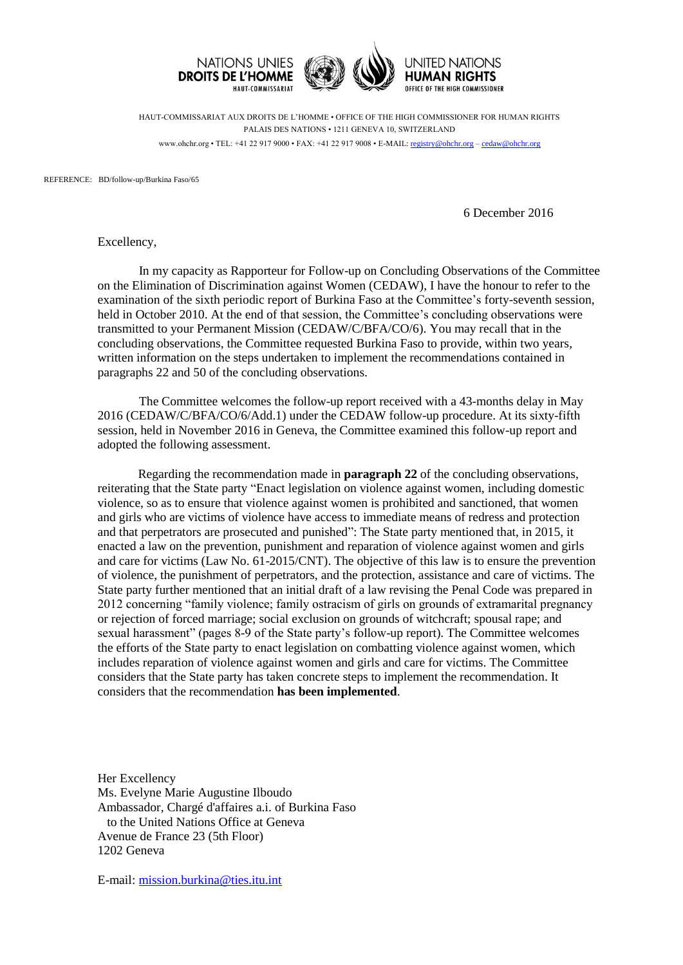

HAUT-COMMISSARIAT AUX DROITS DE L'HOMME • OFFICE OF THE HIGH COMMISSIONER FOR HUMAN RIGHTS PALAIS DES NATIONS • 1211 GENEVA 10, SWITZERLAND www.ohchr.org • TEL: +41 22 917 9000 • FAX: +41 22 917 9008 • E-MAIL: [registry@ohchr.org](mailto:registry@ohchr.org) – [cedaw@ohchr.org](mailto:cedaw@ohchr.org)

REFERENCE: BD/follow-up/Burkina Faso/65

6 December 2016

Excellency,

In my capacity as Rapporteur for Follow-up on Concluding Observations of the Committee on the Elimination of Discrimination against Women (CEDAW), I have the honour to refer to the examination of the sixth periodic report of Burkina Faso at the Committee's forty-seventh session, held in October 2010. At the end of that session, the Committee's concluding observations were transmitted to your Permanent Mission (CEDAW/C/BFA/CO/6). You may recall that in the concluding observations, the Committee requested Burkina Faso to provide, within two years, written information on the steps undertaken to implement the recommendations contained in paragraphs 22 and 50 of the concluding observations.

The Committee welcomes the follow-up report received with a 43-months delay in May 2016 (CEDAW/C/BFA/CO/6/Add.1) under the CEDAW follow-up procedure. At its sixty-fifth session, held in November 2016 in Geneva, the Committee examined this follow-up report and adopted the following assessment.

Regarding the recommendation made in **paragraph 22** of the concluding observations, reiterating that the State party "Enact legislation on violence against women, including domestic violence, so as to ensure that violence against women is prohibited and sanctioned, that women and girls who are victims of violence have access to immediate means of redress and protection and that perpetrators are prosecuted and punished": The State party mentioned that, in 2015, it enacted a law on the prevention, punishment and reparation of violence against women and girls and care for victims (Law No. 61-2015/CNT). The objective of this law is to ensure the prevention of violence, the punishment of perpetrators, and the protection, assistance and care of victims. The State party further mentioned that an initial draft of a law revising the Penal Code was prepared in 2012 concerning "family violence; family ostracism of girls on grounds of extramarital pregnancy or rejection of forced marriage; social exclusion on grounds of witchcraft; spousal rape; and sexual harassment" (pages 8-9 of the State party's follow-up report). The Committee welcomes the efforts of the State party to enact legislation on combatting violence against women, which includes reparation of violence against women and girls and care for victims. The Committee considers that the State party has taken concrete steps to implement the recommendation. It considers that the recommendation **has been implemented**.

Her Excellency Ms. Evelyne Marie Augustine Ilboudo Ambassador, Chargé d'affaires a.i. of Burkina Faso to the United Nations Office at Geneva Avenue de France 23 (5th Floor) 1202 Geneva

E-mail: [mission.burkina@ties.itu.int](mailto:mission.burkina@ties.itu.int)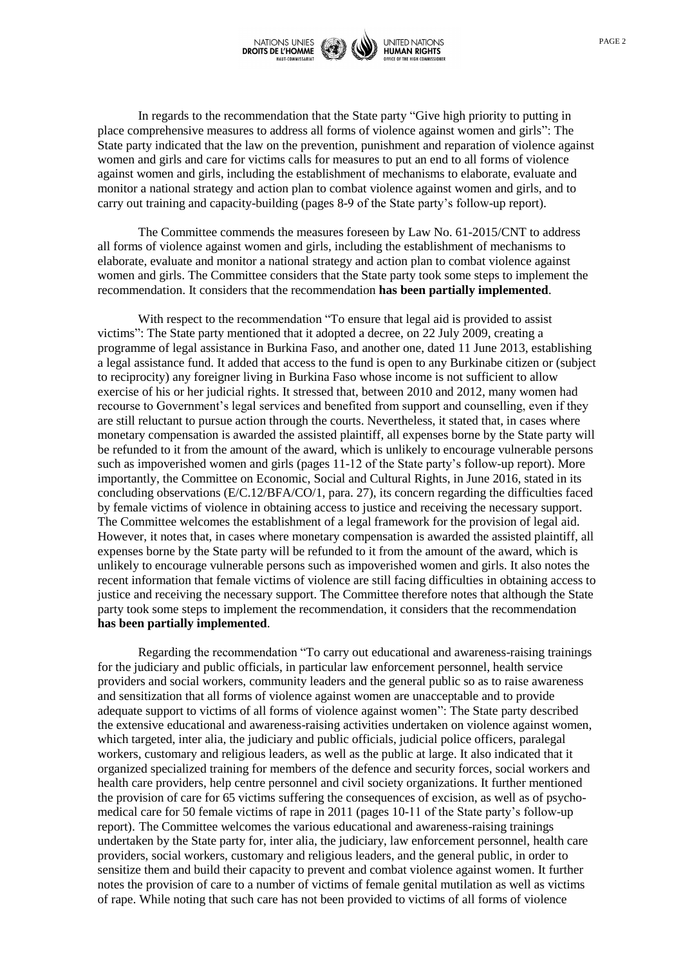

In regards to the recommendation that the State party "Give high priority to putting in place comprehensive measures to address all forms of violence against women and girls": The State party indicated that the law on the prevention, punishment and reparation of violence against women and girls and care for victims calls for measures to put an end to all forms of violence against women and girls, including the establishment of mechanisms to elaborate, evaluate and monitor a national strategy and action plan to combat violence against women and girls, and to carry out training and capacity-building (pages 8-9 of the State party's follow-up report).

The Committee commends the measures foreseen by Law No. 61-2015/CNT to address all forms of violence against women and girls, including the establishment of mechanisms to elaborate, evaluate and monitor a national strategy and action plan to combat violence against women and girls. The Committee considers that the State party took some steps to implement the recommendation. It considers that the recommendation **has been partially implemented**.

With respect to the recommendation "To ensure that legal aid is provided to assist victims": The State party mentioned that it adopted a decree, on 22 July 2009, creating a programme of legal assistance in Burkina Faso, and another one, dated 11 June 2013, establishing a legal assistance fund. It added that access to the fund is open to any Burkinabe citizen or (subject to reciprocity) any foreigner living in Burkina Faso whose income is not sufficient to allow exercise of his or her judicial rights. It stressed that, between 2010 and 2012, many women had recourse to Government's legal services and benefited from support and counselling, even if they are still reluctant to pursue action through the courts. Nevertheless, it stated that, in cases where monetary compensation is awarded the assisted plaintiff, all expenses borne by the State party will be refunded to it from the amount of the award, which is unlikely to encourage vulnerable persons such as impoverished women and girls (pages 11-12 of the State party's follow-up report). More importantly, the Committee on Economic, Social and Cultural Rights, in June 2016, stated in its concluding observations (E/C.12/BFA/CO/1, para. 27), its concern regarding the difficulties faced by female victims of violence in obtaining access to justice and receiving the necessary support. The Committee welcomes the establishment of a legal framework for the provision of legal aid. However, it notes that, in cases where monetary compensation is awarded the assisted plaintiff, all expenses borne by the State party will be refunded to it from the amount of the award, which is unlikely to encourage vulnerable persons such as impoverished women and girls. It also notes the recent information that female victims of violence are still facing difficulties in obtaining access to justice and receiving the necessary support. The Committee therefore notes that although the State party took some steps to implement the recommendation, it considers that the recommendation **has been partially implemented**.

Regarding the recommendation "To carry out educational and awareness-raising trainings for the judiciary and public officials, in particular law enforcement personnel, health service providers and social workers, community leaders and the general public so as to raise awareness and sensitization that all forms of violence against women are unacceptable and to provide adequate support to victims of all forms of violence against women": The State party described the extensive educational and awareness-raising activities undertaken on violence against women, which targeted, inter alia, the judiciary and public officials, judicial police officers, paralegal workers, customary and religious leaders, as well as the public at large. It also indicated that it organized specialized training for members of the defence and security forces, social workers and health care providers, help centre personnel and civil society organizations. It further mentioned the provision of care for 65 victims suffering the consequences of excision, as well as of psychomedical care for 50 female victims of rape in 2011 (pages 10-11 of the State party's follow-up report). The Committee welcomes the various educational and awareness-raising trainings undertaken by the State party for, inter alia, the judiciary, law enforcement personnel, health care providers, social workers, customary and religious leaders, and the general public, in order to sensitize them and build their capacity to prevent and combat violence against women. It further notes the provision of care to a number of victims of female genital mutilation as well as victims of rape. While noting that such care has not been provided to victims of all forms of violence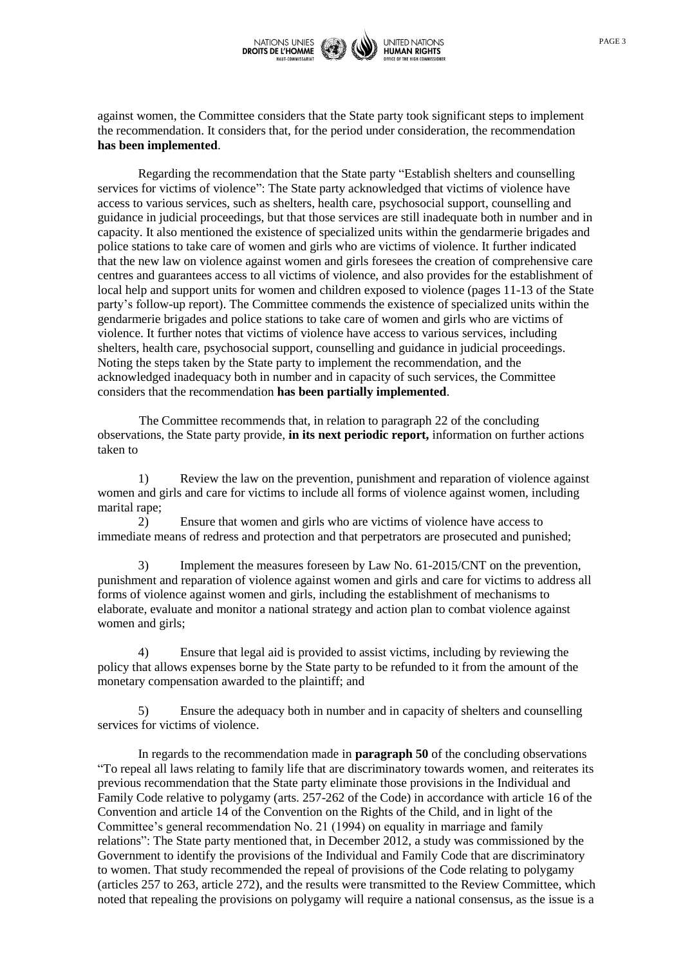

against women, the Committee considers that the State party took significant steps to implement the recommendation. It considers that, for the period under consideration, the recommendation **has been implemented**.

Regarding the recommendation that the State party "Establish shelters and counselling services for victims of violence": The State party acknowledged that victims of violence have access to various services, such as shelters, health care, psychosocial support, counselling and guidance in judicial proceedings, but that those services are still inadequate both in number and in capacity. It also mentioned the existence of specialized units within the gendarmerie brigades and police stations to take care of women and girls who are victims of violence. It further indicated that the new law on violence against women and girls foresees the creation of comprehensive care centres and guarantees access to all victims of violence, and also provides for the establishment of local help and support units for women and children exposed to violence (pages 11-13 of the State party's follow-up report). The Committee commends the existence of specialized units within the gendarmerie brigades and police stations to take care of women and girls who are victims of violence. It further notes that victims of violence have access to various services, including shelters, health care, psychosocial support, counselling and guidance in judicial proceedings. Noting the steps taken by the State party to implement the recommendation, and the acknowledged inadequacy both in number and in capacity of such services, the Committee considers that the recommendation **has been partially implemented**.

The Committee recommends that, in relation to paragraph 22 of the concluding observations, the State party provide, **in its next periodic report,** information on further actions taken to

1) Review the law on the prevention, punishment and reparation of violence against women and girls and care for victims to include all forms of violence against women, including marital rape;

2) Ensure that women and girls who are victims of violence have access to immediate means of redress and protection and that perpetrators are prosecuted and punished;

3) Implement the measures foreseen by Law No. 61-2015/CNT on the prevention, punishment and reparation of violence against women and girls and care for victims to address all forms of violence against women and girls, including the establishment of mechanisms to elaborate, evaluate and monitor a national strategy and action plan to combat violence against women and girls;

4) Ensure that legal aid is provided to assist victims, including by reviewing the policy that allows expenses borne by the State party to be refunded to it from the amount of the monetary compensation awarded to the plaintiff; and

5) Ensure the adequacy both in number and in capacity of shelters and counselling services for victims of violence.

In regards to the recommendation made in **paragraph 50** of the concluding observations "To repeal all laws relating to family life that are discriminatory towards women, and reiterates its previous recommendation that the State party eliminate those provisions in the Individual and Family Code relative to polygamy (arts. 257-262 of the Code) in accordance with article 16 of the Convention and article 14 of the Convention on the Rights of the Child, and in light of the Committee's general recommendation No. 21 (1994) on equality in marriage and family relations": The State party mentioned that, in December 2012, a study was commissioned by the Government to identify the provisions of the Individual and Family Code that are discriminatory to women. That study recommended the repeal of provisions of the Code relating to polygamy (articles 257 to 263, article 272), and the results were transmitted to the Review Committee, which noted that repealing the provisions on polygamy will require a national consensus, as the issue is a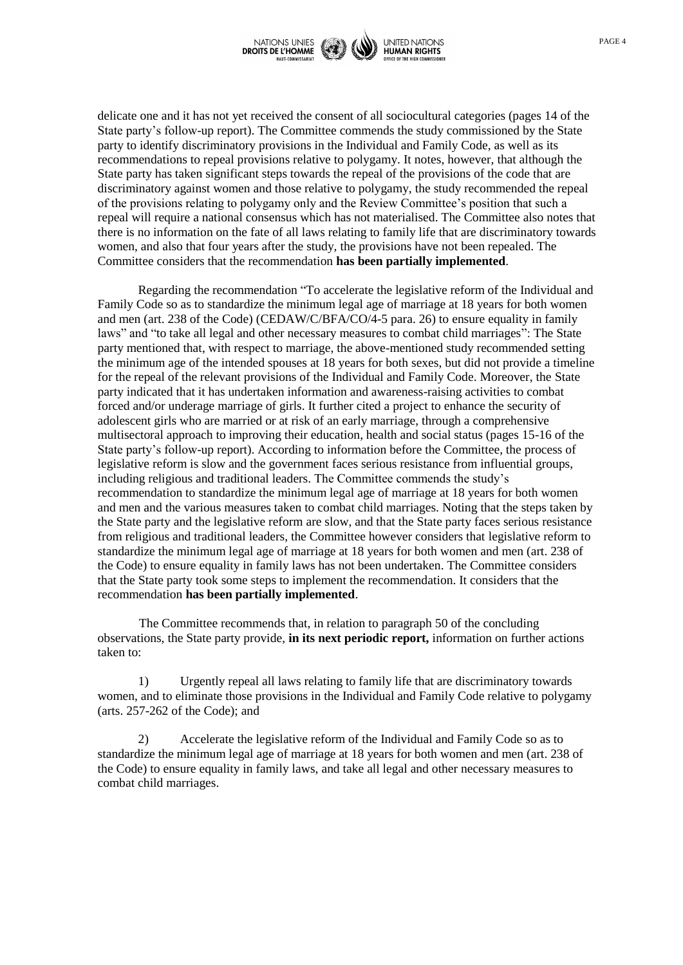

delicate one and it has not yet received the consent of all sociocultural categories (pages 14 of the State party's follow-up report). The Committee commends the study commissioned by the State party to identify discriminatory provisions in the Individual and Family Code, as well as its recommendations to repeal provisions relative to polygamy. It notes, however, that although the State party has taken significant steps towards the repeal of the provisions of the code that are discriminatory against women and those relative to polygamy, the study recommended the repeal of the provisions relating to polygamy only and the Review Committee's position that such a repeal will require a national consensus which has not materialised. The Committee also notes that there is no information on the fate of all laws relating to family life that are discriminatory towards women, and also that four years after the study, the provisions have not been repealed. The Committee considers that the recommendation **has been partially implemented**.

Regarding the recommendation "To accelerate the legislative reform of the Individual and Family Code so as to standardize the minimum legal age of marriage at 18 years for both women and men (art. 238 of the Code) (CEDAW/C/BFA/CO/4-5 para. 26) to ensure equality in family laws" and "to take all legal and other necessary measures to combat child marriages": The State party mentioned that, with respect to marriage, the above-mentioned study recommended setting the minimum age of the intended spouses at 18 years for both sexes, but did not provide a timeline for the repeal of the relevant provisions of the Individual and Family Code. Moreover, the State party indicated that it has undertaken information and awareness-raising activities to combat forced and/or underage marriage of girls. It further cited a project to enhance the security of adolescent girls who are married or at risk of an early marriage, through a comprehensive multisectoral approach to improving their education, health and social status (pages 15-16 of the State party's follow-up report). According to information before the Committee, the process of legislative reform is slow and the government faces serious resistance from influential groups, including religious and traditional leaders. The Committee commends the study's recommendation to standardize the minimum legal age of marriage at 18 years for both women and men and the various measures taken to combat child marriages. Noting that the steps taken by the State party and the legislative reform are slow, and that the State party faces serious resistance from religious and traditional leaders, the Committee however considers that legislative reform to standardize the minimum legal age of marriage at 18 years for both women and men (art. 238 of the Code) to ensure equality in family laws has not been undertaken. The Committee considers that the State party took some steps to implement the recommendation. It considers that the recommendation **has been partially implemented**.

The Committee recommends that, in relation to paragraph 50 of the concluding observations, the State party provide, **in its next periodic report,** information on further actions taken to:

1) Urgently repeal all laws relating to family life that are discriminatory towards women, and to eliminate those provisions in the Individual and Family Code relative to polygamy (arts. 257-262 of the Code); and

2) Accelerate the legislative reform of the Individual and Family Code so as to standardize the minimum legal age of marriage at 18 years for both women and men (art. 238 of the Code) to ensure equality in family laws, and take all legal and other necessary measures to combat child marriages.